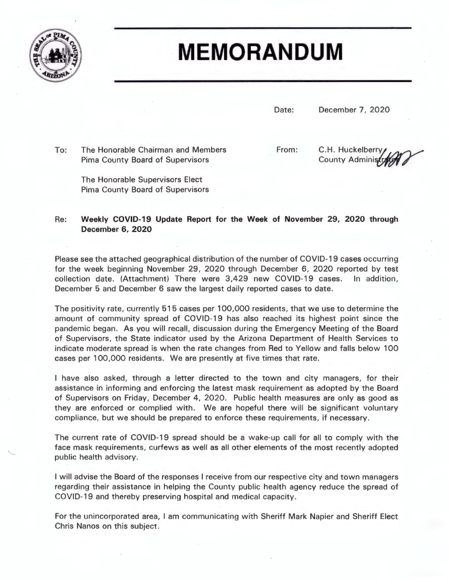

# **-MEMORANDUM**

Date:

December 7, 2020

To: The Honorable Chairman and Members Pima County Board of Supervisors

From:

C.H. Huckelberry **County Adminis** 

The Honorable Supervisors Elect Pima County Board of Supervisors

#### Re: **Weekly COVID-19 Update Report for the Week of November 29, 2020 through December 6, 2020**

Please see the attached geographical distribution of the number of COVID-19 cases occurring for the week beginning November 29, 2020 through December 6, 2020 reported by test collection date. (Attachment) There were 3,429 new COVID-19 cases. In addition, December 5 and December 6 saw the largest daily reported cases to date.

The positivity rate, currently 515 cases per 100,000 residents, that we use to determine the amount of community spread of COVID-19 has also reached its highest point since the pandemic began. As you will recall, discussion during the Emergency Meeting of the Board of Supervisors, the State indicator used by the Arizona Department of Health Services to indicate moderate spread is when the rate changes from Red to Yellow and falls below 100 cases per 100,000 residents. We are presently at five times that rate.

I have also asked, through a letter directed to the town and city managers, for their assistance in informing and enforcing the latest mask requirement as adopted by the Board of Supervisors on Friday, December 4, 2020. Public health measures are only as good as they are enforced or complied with. We are hopeful there will be significant voluntary compliance, but we should be prepared to enforce these requirements, if necessary.

The current rate of COVID-19 spread should be a wake-up call for all to comply with the face mask requirements, curfews as well as all other elements of the most recently adopted public health advisory.

I will advise the Board of the responses I receive from our respective city and town managers regarding their assistance in helping the County public health agency reduce the spread of COVID-19 and thereby preserving hospital and medical capacity.

For the unincorporated area, I am communicating with Sheriff Mark Napier and Sheriff Elect Chris Nanos on this subject.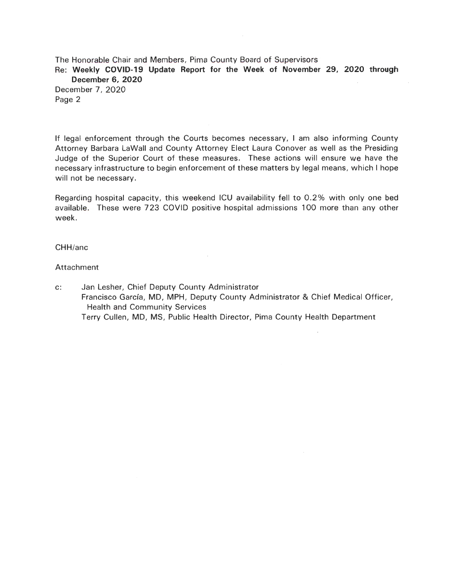The Honorable Chair and Members, Pima County Board of Supervisors

Re: Weekly COVID-19 Update Report for the Week of November 29, 2020 through **December 6, 2020** 

December 7, 2020 Page 2

If legal enforcement through the Courts becomes necessary, I am also informing County Attorney Barbara LaWall and County Attorney Elect Laura Conover as well as the Presiding Judge of the Superior Court of these measures . These actions will ensure we have the necessary infrastructure to begin enforcement of these matters by legal means, which I hope will not be necessary.

Regarding hospital capacity, this weekend ICU availability fell to 0.2% with only one bed available. These were 723 COVID positive hospital admissions 100 more than any other week.

#### CHH/anc

#### **Attachment**

c: Jan Lesher, Chief Deputy County Administrator Francisco Garcfa, MD, **MPH,** Deputy County Administrator & Chief Medical Officer, Health and Community Services Terry Cullen, MD, MS, Public Health Director, Pima County Health Department

 $\sim$